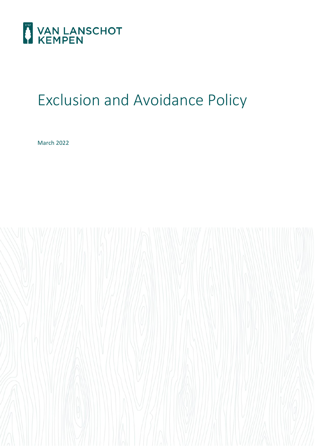

# Exclusion and Avoidance Policy

March 2022

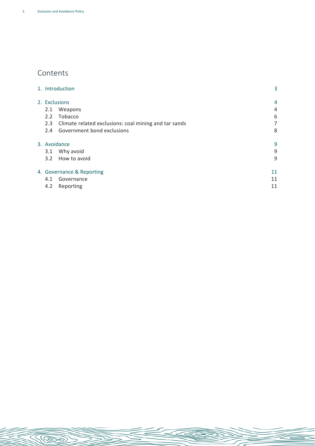# Contents

TR

|  | 1. Introduction                                              | 3  |
|--|--------------------------------------------------------------|----|
|  | 2. Exclusions                                                | 4  |
|  | Weapons<br>2.1                                               | 4  |
|  | Tobacco<br>$2.2^{\circ}$                                     | 6  |
|  | Climate related exclusions: coal mining and tar sands<br>2.3 | 7  |
|  | Government bond exclusions<br>2.4                            | 8  |
|  | 3. Avoidance                                                 | 9  |
|  | Why avoid<br>3.1                                             | 9  |
|  | How to avoid<br>3.2                                          | 9  |
|  | 4. Governance & Reporting                                    | 11 |
|  | Governance<br>4.1                                            | 11 |
|  | Reporting<br>4.2                                             | 11 |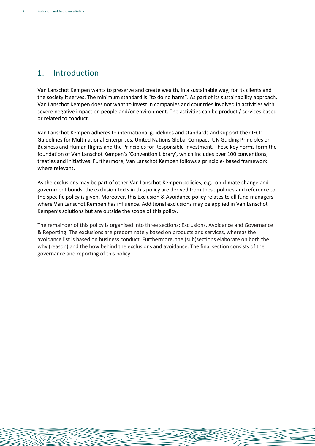# <span id="page-2-0"></span>1. Introduction

Van Lanschot Kempen wants to preserve and create wealth, in a sustainable way, for its clients and the society it serves. The minimum standard is "to do no harm". As part of its sustainability approach, Van Lanschot Kempen does not want to invest in companies and countries involved in activities with severe negative impact on people and/or environment. The activities can be product / services based or related to conduct.

Van Lanschot Kempen adheres to international guidelines and standards and support the OECD Guidelines for Multinational Enterprises, United Nations Global Compact, UN Guiding Principles on Business and Human Rights and the Principles for Responsible Investment. These key norms form the foundation of Van Lanschot Kempen's 'Convention Library', which includes over 100 conventions, treaties and initiatives. Furthermore, Van Lanschot Kempen follows a principle- based framework where relevant.

As the exclusions may be part of other Van Lanschot Kempen policies, e.g., on climate change and government bonds, the exclusion texts in this policy are derived from these policies and reference to the specific policy is given. Moreover, this Exclusion & Avoidance policy relates to all fund managers where Van Lanschot Kempen has influence. Additional exclusions may be applied in Van Lanschot Kempen's solutions but are outside the scope of this policy.

The remainder of this policy is organised into three sections: Exclusions, Avoidance and Governance & Reporting. The exclusions are predominately based on products and services, whereas the avoidance list is based on business conduct. Furthermore, the (sub)sections elaborate on both the why (reason) and the how behind the exclusions and avoidance. The final section consists of the governance and reporting of this policy.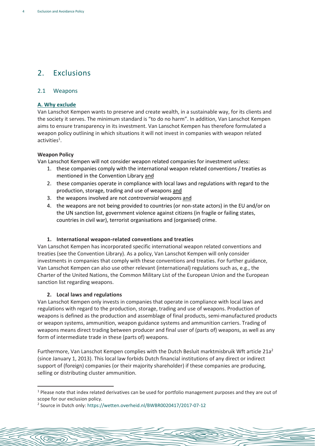# <span id="page-3-0"></span>2. Exclusions

### <span id="page-3-1"></span>2.1 Weapons

#### **A. Why exclude**

Van Lanschot Kempen wants to preserve and create wealth, in a sustainable way, for its clients and the society it serves. The minimum standard is "to do no harm". In addition, Van Lanschot Kempen aims to ensure transparency in its investment. Van Lanschot Kempen has therefore formulated a weapon policy outlining in which situations it will not invest in companies with weapon related activities $^1$ .

#### **Weapon Policy**

Van Lanschot Kempen will not consider weapon related companies for investment unless:

- 1. these companies comply with the international weapon related conventions / treaties as mentioned in the Convention Library and
- 2. these companies operate in compliance with local laws and regulations with regard to the production, storage, trading and use of weapons and
- 3. the weapons involved are not *controversial* weapons and
- 4. the weapons are not being provided to countries (or non-state actors) in the EU and/or on the UN sanction list, government violence against citizens (in fragile or failing states, countries in civil war), terrorist organisations and (organised) crime.

#### **1. International weapon-related conventions and treaties**

Van Lanschot Kempen has incorporated specific international weapon related conventions and treaties (see the Convention Library). As a policy, Van Lanschot Kempen will only consider investments in companies that comply with these conventions and treaties. For further guidance, Van Lanschot Kempen can also use other relevant (international) regulations such as, e.g., the Charter of the United Nations, the Common Military List of the European Union and the European sanction list regarding weapons.

#### **2. Local laws and regulations**

Van Lanschot Kempen only invests in companies that operate in compliance with local laws and regulations with regard to the production, storage, trading and use of weapons. Production of weapons is defined as the production and assemblage of final products, semi-manufactured products or weapon systems, ammunition, weapon guidance systems and ammunition carriers. Trading of weapons means direct trading between producer and final user of (parts of) weapons, as well as any form of intermediate trade in these (parts of) weapons.

Furthermore, Van Lanschot Kempen complies with the Dutch Besluit marktmisbruik Wft article 21 $a^2$ (since January 1, 2013). This local law forbids Dutch financial institutions of any direct or indirect support of (foreign) companies (or their majority shareholder) if these companies are producing, selling or distributing cluster ammunition.

<sup>&</sup>lt;sup>1</sup> Please note that index related derivatives can be used for portfolio management purposes and they are out of scope for our exclusion policy.

<sup>2</sup> Source in Dutch only:<https://wetten.overheid.nl/BWBR0020417/2017-07-12>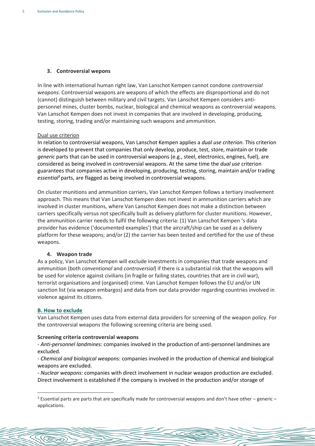#### **3. Controversial wepons**

In line with international human right law, Van Lanschot Kempen cannot condone *controversial weapons*. Controversial weapons are weapons of which the effects are disproportional and do not (cannot) distinguish between military and civil targets. Van Lanschot Kempen considers antipersonnel mines, cluster bombs, nuclear, biological and chemical weapons as controversial weapons. Van Lanschot Kempen does not invest in companies that are involved in developing, producing, testing, storing, trading and/or maintaining such weapons and ammunition.

#### Dual use criterion

In relation to controversial weapons, Van Lanschot Kempen applies a *dual use criterion.* This criterion is developed to prevent that companies that only develop, produce, test, store, maintain or trade *generic* parts that can be used in controversial weapons (e.g., steel, electronics, engines, fuel), are considered as being involved in controversial weapons. At the same time the *dual use* criterion guarantees that companies active in developing, producing, testing, storing, maintain and/or trading *essential<sup>3</sup>* parts, are flagged as being involved in controversial weapons.

On cluster munitions and ammunition carriers, Van Lanschot Kempen follows a tertiary involvement approach. This means that Van Lanschot Kempen does not invest in ammunition carriers which are involved in cluster munitions, where Van Lanschot Kempen does not make a distinction between carriers specifically versus not specifically built as delivery platform for cluster munitions. However, the ammunition carrier needs to fulfil the following criteria: (1) Van Lanschot Kempen 's data provider has evidence ('documented examples') that the aircraft/ship can be used as a delivery platform for these weapons; and/or (2) the carrier has been tested and certified for the use of these weapons.

#### **4. Weapon trade**

As a policy, Van Lanschot Kempen will exclude investments in companies that trade weapons and ammunition (both *conventional* and *controversial*) if there is a substantial risk that the weapons will be used for violence against civilians (in fragile or failing states, countries that are in civil war), terrorist organisations and (organised) crime. Van Lanschot Kempen follows the EU and/or UN sanction list (via weapon embargos) and data from our data provider regarding countries involved in violence against its citizens.

#### **B. How to exclude**

Van Lanschot Kempen uses data from external data providers for screening of the weapon policy. For the controversial weapons the following screening criteria are being used.

#### **Screening criteria controversial weapons**

*- Anti-personnel landmines:* companies involved in the production of anti-personnel landmines are excluded.

*- Chemical and biological weapon*s: companies involved in the production of chemical and biological weapons are excluded.

*- Nuclear weapons:* companies with direct involvement in nuclear weapon production are excluded. Direct involvement is established if the company is involved in the production and/or storage of

<sup>3</sup> Essential parts are parts that are specifically made for controversial weapons and don't have other – generic – applications.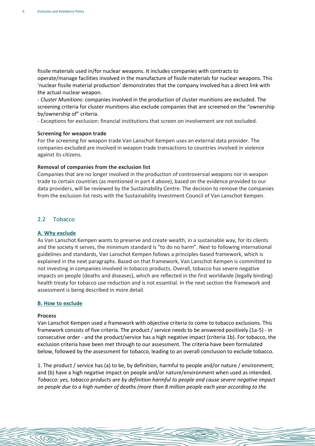fissile materials used in/for nuclear weapons. It includes companies with contracts to operate/manage facilities involved in the manufacture of fissile materials for nuclear weapons. This 'nuclear fissile material production' demonstrates that the company involved has a direct link with the actual nuclear weapon.

*- Cluster Munitions*: companies involved in the production of cluster munitions are excluded. The screening criteria for cluster munitions also exclude companies that are screened on the "ownership by/ownership of" criteria.

- Exceptions for exclusion: financial institutions that screen on involvement are not excluded.

#### **Screening for weapon trade**

For the screening for weapon trade Van Lanschot Kempen uses an external data provider. The companies excluded are involved in weapon trade transactions to countries involved in violence against its citizens.

#### **Removal of companies from the exclusion list**

Companies that are no longer involved in the production of controversial weapons nor in weapon trade to certain countries (as mentioned in part 4 above), based on the evidence provided to our data providers, will be reviewed by the Sustainability Centre. The decision to remove the companies from the exclusion list rests with the Sustainability Investment Council of Van Lanschot Kempen.

#### <span id="page-5-0"></span>2.2 Tobacco

#### **A. Why exclude**

As Van Lanschot Kempen wants to preserve and create wealth, in a sustainable way, for its clients and the society it serves, the minimum standard is "to do no harm". Next to following international guidelines and standards, Van Lanschot Kempen follows a principles-based framework, which is explained in the next paragraphs. Based on that framework, Van Lanschot Kempen is committed to not investing in companies involved in tobacco products. Overall, tobacco has severe negative impacts on people (deaths and diseases), which are reflected in the first worldwide (legally binding) health treaty for tobacco use reduction and is not essential. In the next section the framework and assessment is being described in more detail.

#### **B. How to exclude**

#### **Process**

Van Lanschot Kempen used a framework with objective criteria to come to tobacco exclusions. This framework consists of five criteria. The product / service needs to be answered positively (1a-5) - in consecutive order - and the product/service has a high negative impact (criteria 1b). For tobacco, the exclusion criteria have been met through to our assessment. The criteria have been formulated below, followed by the assessment for tobacco, leading to an overall conclusion to exclude tobacco.

1. The product / service has (a) to be, by definition, harmful to people and/or nature / environment; and (b) have a high negative impact on people and/or nature/environment when used as intended. *Tobacco*: *yes, tobacco products are by definition harmful to people and cause severe negative impact on people due to a high number of deaths (more than 8 million people each year according to the*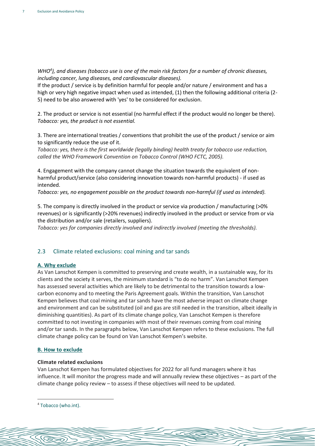*WHO<sup>4</sup> ), and diseases (tobacco use is one of the main risk factors for a number of chronic diseases, including cancer, lung diseases, and cardiovascular diseases).* 

If the product / service is by definition harmful for people and/or nature / environment and has a high or very high negative impact when used as intended, (1) then the following additional criteria (2- 5) need to be also answered with 'yes' to be considered for exclusion.

2. The product or service is not essential (no harmful effect if the product would no longer be there). *Tobacco: yes, the product is not essential.* 

3. There are international treaties / conventions that prohibit the use of the product / service or aim to significantly reduce the use of it.

*Tobacco: yes, there is the first worldwide (legally binding) health treaty for tobacco use reduction, called the WHO Framework Convention on Tobacco Control (WHO FCTC, 2005).*

4. Engagement with the company cannot change the situation towards the equivalent of nonharmful product/service (also considering innovation towards non-harmful products) - if used as intended.

*Tobacco: yes, no engagement possible on the product towards non-harmful (if used as intended).* 

5. The company is directly involved in the product or service via production / manufacturing (>0% revenues) or is significantly (>20% revenues) indirectly involved in the product or service from or via the distribution and/or sale (retailers, suppliers).

*Tobacco: yes for companies directly involved and indirectly involved (meeting the thresholds).*

#### <span id="page-6-0"></span>2.3 Climate related exclusions: coal mining and tar sands

#### **A. Why exclude**

As Van Lanschot Kempen is committed to preserving and create wealth, in a sustainable way, for its clients and the society it serves, the minimum standard is "to do no harm". Van Lanschot Kempen has assessed several activities which are likely to be detrimental to the transition towards a lowcarbon economy and to meeting the Paris Agreement goals. Within the transition, Van Lanschot Kempen believes that coal mining and tar sands have the most adverse impact on climate change and environment and can be substituted (oil and gas are still needed in the transition, albeit ideally in diminishing quantities). As part of its climate change policy, Van Lanschot Kempen is therefore committed to not investing in companies with most of their revenues coming from coal mining and/or tar sands. In the paragraphs below, Van Lanschot Kempen refers to these exclusions. The full climate change policy can be found on Van Lanschot Kempen's website.

#### **B. How to exclude**

### **Climate related exclusions**

Van Lanschot Kempen has formulated objectives for 2022 for all fund managers where it has influence. It will monitor the progress made and will annually review these objectives – as part of the climate change policy review – to assess if these objectives will need to be updated.

<sup>4</sup> [Tobacco \(who.int\).](https://www.who.int/news-room/fact-sheets/detail/tobacco)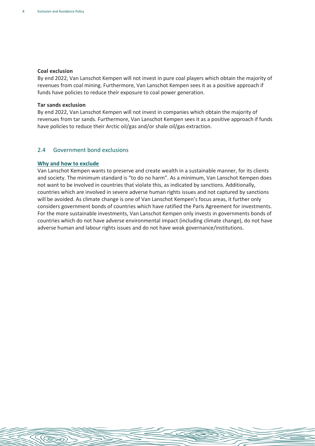#### **Coal exclusion**

By end 2022, Van Lanschot Kempen will not invest in pure coal players which obtain the majority of revenues from coal mining. Furthermore, Van Lanschot Kempen sees it as a positive approach if funds have policies to reduce their exposure to coal power generation.

#### **Tar sands exclusion**

By end 2022, Van Lanschot Kempen will not invest in companies which obtain the majority of revenues from tar sands. Furthermore, Van Lanschot Kempen sees it as a positive approach if funds have policies to reduce their Arctic oil/gas and/or shale oil/gas extraction.

#### <span id="page-7-0"></span>2.4 Government bond exclusions

#### **Why and how to exclude**

Van Lanschot Kempen wants to preserve and create wealth in a sustainable manner, for its clients and society. The minimum standard is "to do no harm". As a minimum, Van Lanschot Kempen does not want to be involved in countries that violate this, as indicated by sanctions. Additionally, countries which are involved in severe adverse human rights issues and not captured by sanctions will be avoided. As climate change is one of Van Lanschot Kempen's focus areas, it further only considers government bonds of countries which have ratified the Paris Agreement for investments. For the more sustainable investments, Van Lanschot Kempen only invests in governments bonds of countries which do not have adverse environmental impact (including climate change), do not have adverse human and labour rights issues and do not have weak governance/institutions.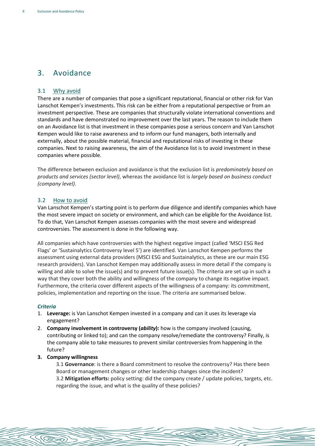## <span id="page-8-0"></span>3. Avoidance

#### <span id="page-8-1"></span>3.1 Why avoid

There are a number of companies that pose a significant reputational, financial or other risk for Van Lanschot Kempen's investments. This risk can be either from a reputational perspective or from an investment perspective. These are companies that structurally violate international conventions and standards and have demonstrated no improvement over the last years. The reason to include them on an Avoidance list is that investment in these companies pose a serious concern and Van Lanschot Kempen would like to raise awareness and to inform our fund managers, both internally and externally, about the possible material, financial and reputational risks of investing in these companies. Next to raising awareness, the aim of the Avoidance list is to avoid investment in these companies where possible.

The difference between exclusion and avoidance is that the exclusion list is *predominately based on products and services (sector level)*, whereas the avoidance list is *largely based on business conduct (company level)*.

#### <span id="page-8-2"></span>3.2 How to avoid

Van Lanschot Kempen's starting point is to perform due diligence and identify companies which have the most severe impact on society or environment, and which can be eligible for the Avoidance list. To do that, Van Lanschot Kempen assesses companies with the most severe and widespread controversies. The assessment is done in the following way.

All companies which have controversies with the highest negative impact (called 'MSCI ESG Red Flags' or 'Sustainalytics Controversy level 5') are identified. Van Lanschot Kempen performs the assessment using external data providers (MSCI ESG and Sustainalytics, as these are our main ESG research providers). Van Lanschot Kempen may additionally assess in more detail if the company is willing and able to solve the issue(s) and to prevent future issue(s). The criteria are set up in such a way that they cover both the ability and willingness of the company to change its negative impact. Furthermore, the criteria cover different aspects of the willingness of a company: its commitment, policies, implementation and reporting on the issue. The criteria are summarised below.

#### *Criteria*

- 1. **Leverage:** is Van Lanschot Kempen invested in a company and can it uses its leverage via engagement?
- 2. **Company involvement in controversy (***ability***):** how is the company involved (causing, contributing or linked to); and can the company resolve/remediate the controversy? Finally, is the company able to take measures to prevent similar controversies from happening in the future?
- **3. Company willingness**

3.1 **Governance**: is there a Board commitment to resolve the controversy? Has there been Board or management changes or other leadership changes since the incident? 3.2 **Mitigation efforts:** policy setting: did the company create / update policies, targets, etc. regarding the issue, and what is the quality of these policies?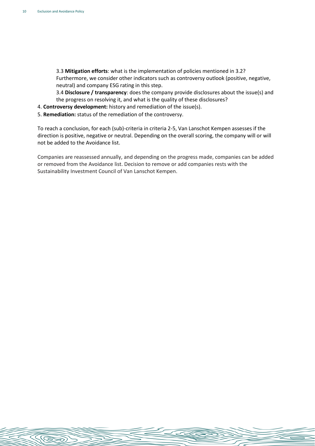$\widehat{\leqslant}$ 

3.3 **Mitigation efforts**: what is the implementation of policies mentioned in 3.2? Furthermore, we consider other indicators such as controversy outlook (positive, negative, neutral) and company ESG rating in this step.

3.4 **Disclosure / transparency**: does the company provide disclosures about the issue(s) and the progress on resolving it, and what is the quality of these disclosures?

- 4. **Controversy development:** history and remediation of the issue(s).
- 5. **Remediation:** status of the remediation of the controversy.

To reach a conclusion, for each (sub)-criteria in criteria 2-5, Van Lanschot Kempen assesses if the direction is positive, negative or neutral. Depending on the overall scoring, the company will or will not be added to the Avoidance list.

Companies are reassessed annually, and depending on the progress made, companies can be added or removed from the Avoidance list. Decision to remove or add companies rests with the Sustainability Investment Council of Van Lanschot Kempen.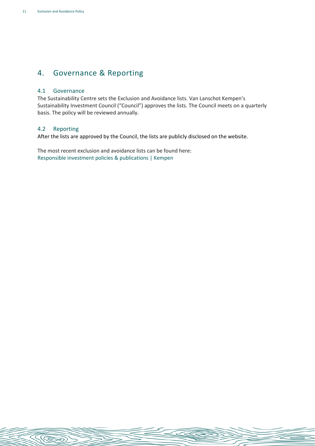# <span id="page-10-0"></span>4. Governance & Reporting

### <span id="page-10-1"></span>4.1 Governance

The Sustainability Centre sets the Exclusion and Avoidance lists. Van Lanschot Kempen's Sustainability Investment Council ("Council") approves the lists. The Council meets on a quarterly basis. The policy will be reviewed annually.

### <span id="page-10-2"></span>4.2 Reporting

 $\widehat{\leqslant$ 

After the lists are approved by the Council, the lists are publicly disclosed on the website.

The most recent exclusion and avoidance lists can be found here: [Responsible investment policies & publications | Kempen](https://www.kempen.com/en/asset-management/esg/policies-and-publications)